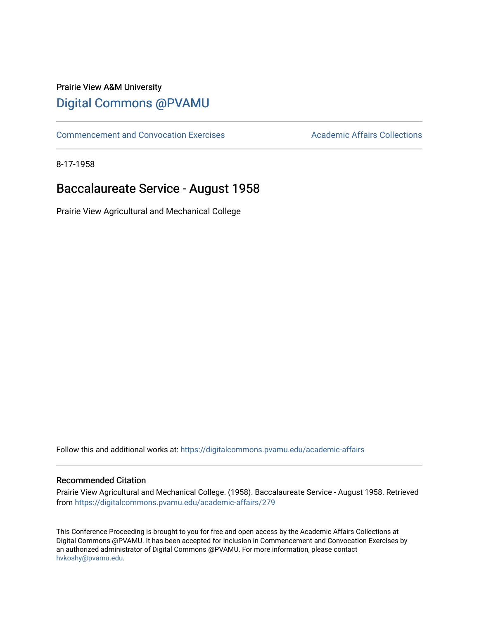## Prairie View A&M University [Digital Commons @PVAMU](https://digitalcommons.pvamu.edu/)

[Commencement and Convocation Exercises](https://digitalcommons.pvamu.edu/academic-affairs) **Academic Affairs Collections** 

8-17-1958

## Baccalaureate Service - August 1958

Prairie View Agricultural and Mechanical College

Follow this and additional works at: [https://digitalcommons.pvamu.edu/academic-affairs](https://digitalcommons.pvamu.edu/academic-affairs?utm_source=digitalcommons.pvamu.edu%2Facademic-affairs%2F279&utm_medium=PDF&utm_campaign=PDFCoverPages)

### Recommended Citation

Prairie View Agricultural and Mechanical College. (1958). Baccalaureate Service - August 1958. Retrieved from [https://digitalcommons.pvamu.edu/academic-affairs/279](https://digitalcommons.pvamu.edu/academic-affairs/279?utm_source=digitalcommons.pvamu.edu%2Facademic-affairs%2F279&utm_medium=PDF&utm_campaign=PDFCoverPages) 

This Conference Proceeding is brought to you for free and open access by the Academic Affairs Collections at Digital Commons @PVAMU. It has been accepted for inclusion in Commencement and Convocation Exercises by an authorized administrator of Digital Commons @PVAMU. For more information, please contact [hvkoshy@pvamu.edu](mailto:hvkoshy@pvamu.edu).